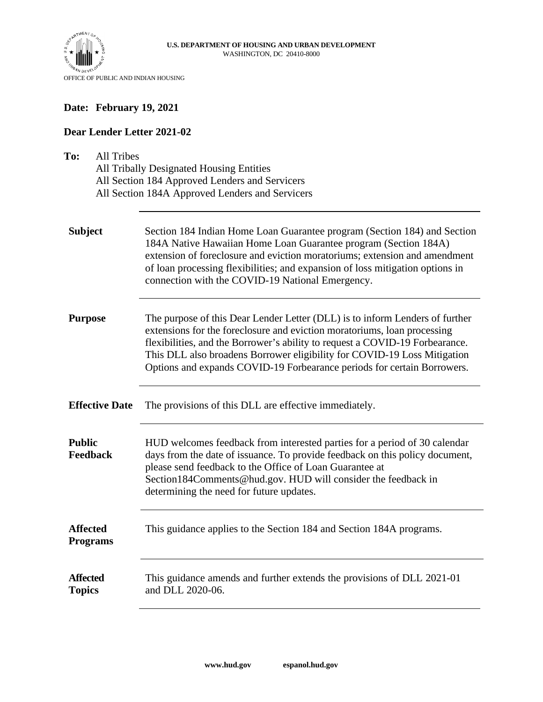

#### **Date: February 19, 2021**

#### **Dear Lender Letter 2021-02**

| To:<br><b>All Tribes</b><br>All Tribally Designated Housing Entities<br>All Section 184 Approved Lenders and Servicers<br>All Section 184A Approved Lenders and Servicers |                                                                                                                                                                                                                                                                                                                                                                                                 |  |
|---------------------------------------------------------------------------------------------------------------------------------------------------------------------------|-------------------------------------------------------------------------------------------------------------------------------------------------------------------------------------------------------------------------------------------------------------------------------------------------------------------------------------------------------------------------------------------------|--|
| <b>Subject</b>                                                                                                                                                            | Section 184 Indian Home Loan Guarantee program (Section 184) and Section<br>184A Native Hawaiian Home Loan Guarantee program (Section 184A)<br>extension of foreclosure and eviction moratoriums; extension and amendment<br>of loan processing flexibilities; and expansion of loss mitigation options in<br>connection with the COVID-19 National Emergency.                                  |  |
| <b>Purpose</b>                                                                                                                                                            | The purpose of this Dear Lender Letter (DLL) is to inform Lenders of further<br>extensions for the foreclosure and eviction moratoriums, loan processing<br>flexibilities, and the Borrower's ability to request a COVID-19 Forbearance.<br>This DLL also broadens Borrower eligibility for COVID-19 Loss Mitigation<br>Options and expands COVID-19 Forbearance periods for certain Borrowers. |  |
| <b>Effective Date</b>                                                                                                                                                     | The provisions of this DLL are effective immediately.                                                                                                                                                                                                                                                                                                                                           |  |
| <b>Public</b><br><b>Feedback</b>                                                                                                                                          | HUD welcomes feedback from interested parties for a period of 30 calendar<br>days from the date of issuance. To provide feedback on this policy document,<br>please send feedback to the Office of Loan Guarantee at<br>Section184Comments@hud.gov. HUD will consider the feedback in<br>determining the need for future updates.                                                               |  |
| <b>Affected</b><br><b>Programs</b>                                                                                                                                        | This guidance applies to the Section 184 and Section 184A programs.                                                                                                                                                                                                                                                                                                                             |  |
| <b>Affected</b><br><b>Topics</b>                                                                                                                                          | This guidance amends and further extends the provisions of DLL 2021-01<br>and DLL 2020-06.                                                                                                                                                                                                                                                                                                      |  |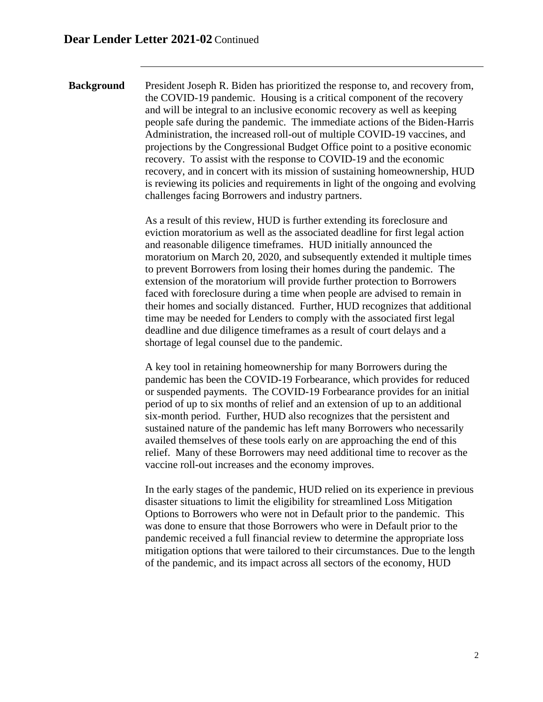**Background** President Joseph R. Biden has prioritized the response to, and recovery from, the COVID-19 pandemic. Housing is a critical component of the recovery and will be integral to an inclusive economic recovery as well as keeping people safe during the pandemic. The immediate actions of the Biden-Harris Administration, the increased roll-out of multiple COVID-19 vaccines, and projections by the Congressional Budget Office point to a positive economic recovery. To assist with the response to COVID-19 and the economic recovery, and in concert with its mission of sustaining homeownership, HUD is reviewing its policies and requirements in light of the ongoing and evolving challenges facing Borrowers and industry partners.

> As a result of this review, HUD is further extending its foreclosure and eviction moratorium as well as the associated deadline for first legal action and reasonable diligence timeframes. HUD initially announced the moratorium on March 20, 2020, and subsequently extended it multiple times to prevent Borrowers from losing their homes during the pandemic. The extension of the moratorium will provide further protection to Borrowers faced with foreclosure during a time when people are advised to remain in their homes and socially distanced. Further, HUD recognizes that additional time may be needed for Lenders to comply with the associated first legal deadline and due diligence timeframes as a result of court delays and a shortage of legal counsel due to the pandemic.

> A key tool in retaining homeownership for many Borrowers during the pandemic has been the COVID-19 Forbearance, which provides for reduced or suspended payments. The COVID-19 Forbearance provides for an initial period of up to six months of relief and an extension of up to an additional six-month period. Further, HUD also recognizes that the persistent and sustained nature of the pandemic has left many Borrowers who necessarily availed themselves of these tools early on are approaching the end of this relief. Many of these Borrowers may need additional time to recover as the vaccine roll-out increases and the economy improves.

In the early stages of the pandemic, HUD relied on its experience in previous disaster situations to limit the eligibility for streamlined Loss Mitigation Options to Borrowers who were not in Default prior to the pandemic. This was done to ensure that those Borrowers who were in Default prior to the pandemic received a full financial review to determine the appropriate loss mitigation options that were tailored to their circumstances. Due to the length of the pandemic, and its impact across all sectors of the economy, HUD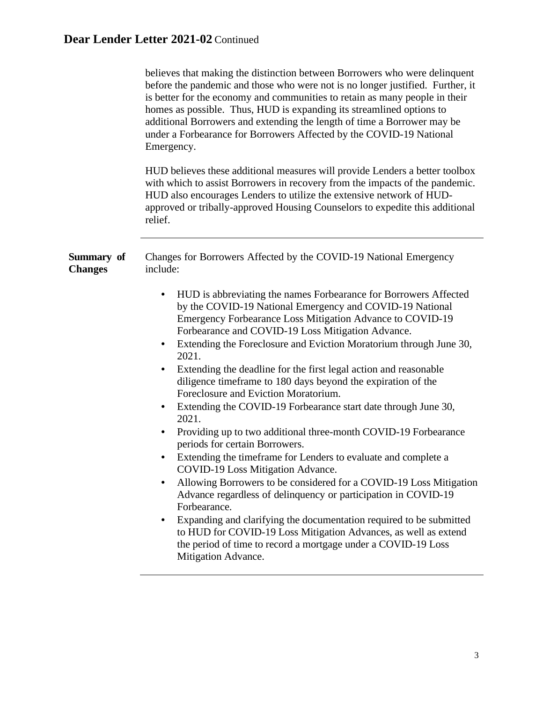|                              | believes that making the distinction between Borrowers who were delinquent<br>before the pandemic and those who were not is no longer justified. Further, it<br>is better for the economy and communities to retain as many people in their<br>homes as possible. Thus, HUD is expanding its streamlined options to<br>additional Borrowers and extending the length of time a Borrower may be<br>under a Forbearance for Borrowers Affected by the COVID-19 National<br>Emergency.<br>HUD believes these additional measures will provide Lenders a better toolbox<br>with which to assist Borrowers in recovery from the impacts of the pandemic.<br>HUD also encourages Lenders to utilize the extensive network of HUD-<br>approved or tribally-approved Housing Counselors to expedite this additional<br>relief.                                                                                                                                                                                                                                                                                                                                                                                                                                                      |
|------------------------------|-----------------------------------------------------------------------------------------------------------------------------------------------------------------------------------------------------------------------------------------------------------------------------------------------------------------------------------------------------------------------------------------------------------------------------------------------------------------------------------------------------------------------------------------------------------------------------------------------------------------------------------------------------------------------------------------------------------------------------------------------------------------------------------------------------------------------------------------------------------------------------------------------------------------------------------------------------------------------------------------------------------------------------------------------------------------------------------------------------------------------------------------------------------------------------------------------------------------------------------------------------------------------------|
| Summary of<br><b>Changes</b> | Changes for Borrowers Affected by the COVID-19 National Emergency<br>include:<br>HUD is abbreviating the names Forbearance for Borrowers Affected<br>by the COVID-19 National Emergency and COVID-19 National<br>Emergency Forbearance Loss Mitigation Advance to COVID-19<br>Forbearance and COVID-19 Loss Mitigation Advance.<br>Extending the Foreclosure and Eviction Moratorium through June 30,<br>2021.<br>Extending the deadline for the first legal action and reasonable<br>diligence timeframe to 180 days beyond the expiration of the<br>Foreclosure and Eviction Moratorium.<br>Extending the COVID-19 Forbearance start date through June 30,<br>2021.<br>Providing up to two additional three-month COVID-19 Forbearance<br>periods for certain Borrowers.<br>Extending the timeframe for Lenders to evaluate and complete a<br>COVID-19 Loss Mitigation Advance.<br>Allowing Borrowers to be considered for a COVID-19 Loss Mitigation<br>Advance regardless of delinquency or participation in COVID-19<br>Forbearance.<br>Expanding and clarifying the documentation required to be submitted<br>to HUD for COVID-19 Loss Mitigation Advances, as well as extend<br>the period of time to record a mortgage under a COVID-19 Loss<br>Mitigation Advance. |
|                              |                                                                                                                                                                                                                                                                                                                                                                                                                                                                                                                                                                                                                                                                                                                                                                                                                                                                                                                                                                                                                                                                                                                                                                                                                                                                             |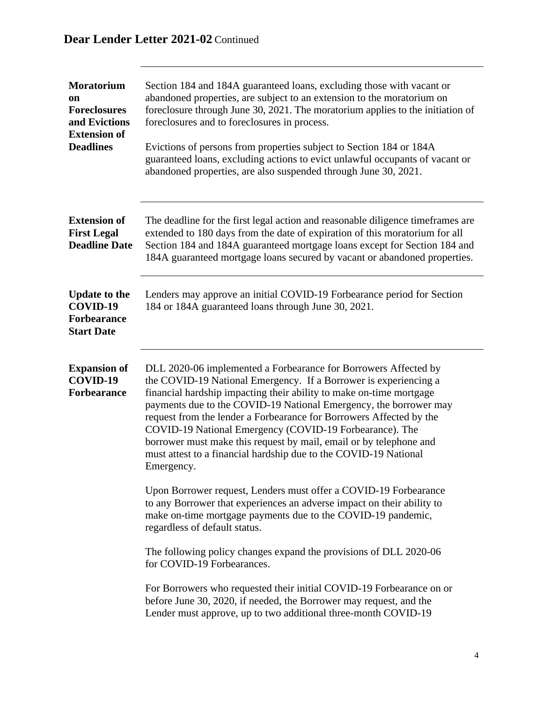| <b>Moratorium</b><br><b>on</b><br><b>Foreclosures</b><br>and Evictions<br><b>Extension of</b><br><b>Deadlines</b> | Section 184 and 184A guaranteed loans, excluding those with vacant or<br>abandoned properties, are subject to an extension to the moratorium on<br>foreclosure through June 30, 2021. The moratorium applies to the initiation of<br>foreclosures and to foreclosures in process.<br>Evictions of persons from properties subject to Section 184 or 184A<br>guaranteed loans, excluding actions to evict unlawful occupants of vacant or<br>abandoned properties, are also suspended through June 30, 2021.                                                               |
|-------------------------------------------------------------------------------------------------------------------|---------------------------------------------------------------------------------------------------------------------------------------------------------------------------------------------------------------------------------------------------------------------------------------------------------------------------------------------------------------------------------------------------------------------------------------------------------------------------------------------------------------------------------------------------------------------------|
| <b>Extension of</b><br><b>First Legal</b><br><b>Deadline Date</b>                                                 | The deadline for the first legal action and reasonable diligence time frames are<br>extended to 180 days from the date of expiration of this moratorium for all<br>Section 184 and 184A guaranteed mortgage loans except for Section 184 and<br>184A guaranteed mortgage loans secured by vacant or abandoned properties.                                                                                                                                                                                                                                                 |
| <b>Update to the</b><br>COVID-19<br><b>Forbearance</b><br><b>Start Date</b>                                       | Lenders may approve an initial COVID-19 Forbearance period for Section<br>184 or 184A guaranteed loans through June 30, 2021.                                                                                                                                                                                                                                                                                                                                                                                                                                             |
| <b>Expansion of</b><br>COVID-19<br><b>Forbearance</b>                                                             | DLL 2020-06 implemented a Forbearance for Borrowers Affected by<br>the COVID-19 National Emergency. If a Borrower is experiencing a<br>financial hardship impacting their ability to make on-time mortgage<br>payments due to the COVID-19 National Emergency, the borrower may<br>request from the lender a Forbearance for Borrowers Affected by the<br>COVID-19 National Emergency (COVID-19 Forbearance). The<br>borrower must make this request by mail, email or by telephone and<br>must attest to a financial hardship due to the COVID-19 National<br>Emergency. |
|                                                                                                                   | Upon Borrower request, Lenders must offer a COVID-19 Forbearance<br>to any Borrower that experiences an adverse impact on their ability to<br>make on-time mortgage payments due to the COVID-19 pandemic,<br>regardless of default status.                                                                                                                                                                                                                                                                                                                               |
|                                                                                                                   | The following policy changes expand the provisions of DLL 2020-06<br>for COVID-19 Forbearances.                                                                                                                                                                                                                                                                                                                                                                                                                                                                           |
|                                                                                                                   | For Borrowers who requested their initial COVID-19 Forbearance on or<br>before June 30, 2020, if needed, the Borrower may request, and the<br>Lender must approve, up to two additional three-month COVID-19                                                                                                                                                                                                                                                                                                                                                              |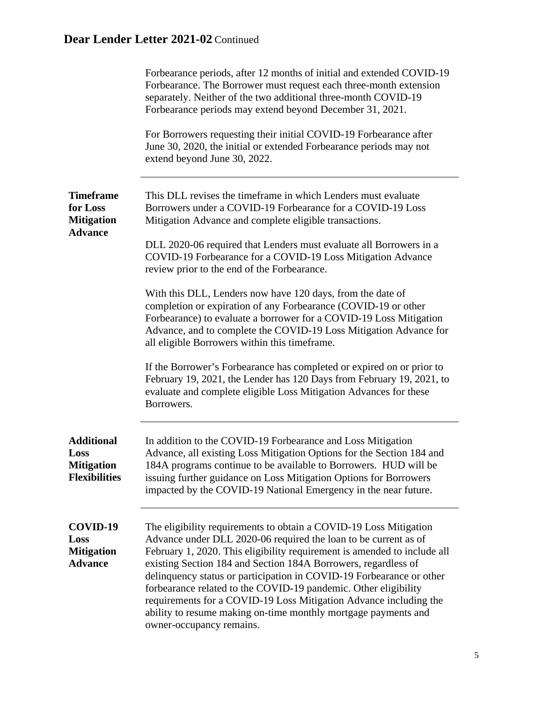|                                                                        | Forbearance periods, after 12 months of initial and extended COVID-19<br>Forbearance. The Borrower must request each three-month extension<br>separately. Neither of the two additional three-month COVID-19<br>Forbearance periods may extend beyond December 31, 2021.<br>For Borrowers requesting their initial COVID-19 Forbearance after<br>June 30, 2020, the initial or extended Forbearance periods may not<br>extend beyond June 30, 2022.                                                                                                                                              |
|------------------------------------------------------------------------|--------------------------------------------------------------------------------------------------------------------------------------------------------------------------------------------------------------------------------------------------------------------------------------------------------------------------------------------------------------------------------------------------------------------------------------------------------------------------------------------------------------------------------------------------------------------------------------------------|
| <b>Timeframe</b><br>for Loss<br><b>Mitigation</b><br><b>Advance</b>    | This DLL revises the timeframe in which Lenders must evaluate<br>Borrowers under a COVID-19 Forbearance for a COVID-19 Loss<br>Mitigation Advance and complete eligible transactions.<br>DLL 2020-06 required that Lenders must evaluate all Borrowers in a                                                                                                                                                                                                                                                                                                                                      |
|                                                                        | COVID-19 Forbearance for a COVID-19 Loss Mitigation Advance<br>review prior to the end of the Forbearance.                                                                                                                                                                                                                                                                                                                                                                                                                                                                                       |
|                                                                        | With this DLL, Lenders now have 120 days, from the date of<br>completion or expiration of any Forbearance (COVID-19 or other<br>Forbearance) to evaluate a borrower for a COVID-19 Loss Mitigation<br>Advance, and to complete the COVID-19 Loss Mitigation Advance for<br>all eligible Borrowers within this timeframe.                                                                                                                                                                                                                                                                         |
|                                                                        | If the Borrower's Forbearance has completed or expired on or prior to<br>February 19, 2021, the Lender has 120 Days from February 19, 2021, to<br>evaluate and complete eligible Loss Mitigation Advances for these<br>Borrowers.                                                                                                                                                                                                                                                                                                                                                                |
| <b>Additional</b><br>Loss<br><b>Mitigation</b><br><b>Flexibilities</b> | In addition to the COVID-19 Forbearance and Loss Mitigation<br>Advance, all existing Loss Mitigation Options for the Section 184 and<br>184A programs continue to be available to Borrowers. HUD will be<br>issuing further guidance on Loss Mitigation Options for Borrowers<br>impacted by the COVID-19 National Emergency in the near future.                                                                                                                                                                                                                                                 |
| COVID-19<br>Loss<br><b>Mitigation</b><br><b>Advance</b>                | The eligibility requirements to obtain a COVID-19 Loss Mitigation<br>Advance under DLL 2020-06 required the loan to be current as of<br>February 1, 2020. This eligibility requirement is amended to include all<br>existing Section 184 and Section 184A Borrowers, regardless of<br>delinquency status or participation in COVID-19 Forbearance or other<br>forbearance related to the COVID-19 pandemic. Other eligibility<br>requirements for a COVID-19 Loss Mitigation Advance including the<br>ability to resume making on-time monthly mortgage payments and<br>owner-occupancy remains. |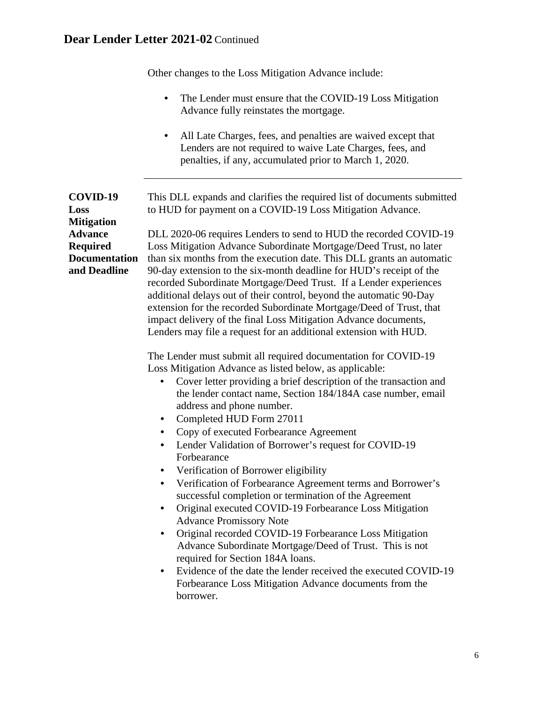Other changes to the Loss Mitigation Advance include:

- The Lender must ensure that the COVID-19 Loss Mitigation Advance fully reinstates the mortgage.
- All Late Charges, fees, and penalties are waived except that Lenders are not required to waive Late Charges, fees, and penalties, if any, accumulated prior to March 1, 2020.

| COVID-19<br>Loss<br><b>Mitigation</b>                                     | This DLL expands and clarifies the required list of documents submitted<br>to HUD for payment on a COVID-19 Loss Mitigation Advance.                                                                                                                                                                                                                                                                                                                                                                                                                                                                                                                                                                                                                                                                                                                                                                                                                                                                                                                                                             |
|---------------------------------------------------------------------------|--------------------------------------------------------------------------------------------------------------------------------------------------------------------------------------------------------------------------------------------------------------------------------------------------------------------------------------------------------------------------------------------------------------------------------------------------------------------------------------------------------------------------------------------------------------------------------------------------------------------------------------------------------------------------------------------------------------------------------------------------------------------------------------------------------------------------------------------------------------------------------------------------------------------------------------------------------------------------------------------------------------------------------------------------------------------------------------------------|
| <b>Advance</b><br><b>Required</b><br><b>Documentation</b><br>and Deadline | DLL 2020-06 requires Lenders to send to HUD the recorded COVID-19<br>Loss Mitigation Advance Subordinate Mortgage/Deed Trust, no later<br>than six months from the execution date. This DLL grants an automatic<br>90-day extension to the six-month deadline for HUD's receipt of the<br>recorded Subordinate Mortgage/Deed Trust. If a Lender experiences<br>additional delays out of their control, beyond the automatic 90-Day<br>extension for the recorded Subordinate Mortgage/Deed of Trust, that<br>impact delivery of the final Loss Mitigation Advance documents,<br>Lenders may file a request for an additional extension with HUD.                                                                                                                                                                                                                                                                                                                                                                                                                                                 |
|                                                                           | The Lender must submit all required documentation for COVID-19<br>Loss Mitigation Advance as listed below, as applicable:<br>Cover letter providing a brief description of the transaction and<br>$\bullet$<br>the lender contact name, Section 184/184A case number, email<br>address and phone number.<br>Completed HUD Form 27011<br>$\bullet$<br>Copy of executed Forbearance Agreement<br>Lender Validation of Borrower's request for COVID-19<br>Forbearance<br>Verification of Borrower eligibility<br>$\bullet$<br>Verification of Forbearance Agreement terms and Borrower's<br>$\bullet$<br>successful completion or termination of the Agreement<br>Original executed COVID-19 Forbearance Loss Mitigation<br>$\bullet$<br><b>Advance Promissory Note</b><br>Original recorded COVID-19 Forbearance Loss Mitigation<br>$\bullet$<br>Advance Subordinate Mortgage/Deed of Trust. This is not<br>required for Section 184A loans.<br>Evidence of the date the lender received the executed COVID-19<br>$\bullet$<br>Forbearance Loss Mitigation Advance documents from the<br>borrower. |